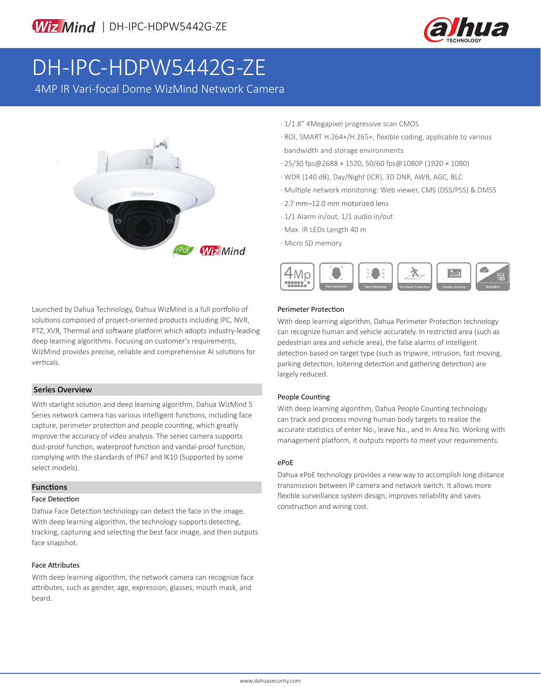

# DH-IPC-HDPW5442G-ZE

4MP IR Vari-focal Dome WizMind Network Camera



Launched by Dahua Technology, Dahua WizMind is a full portfolio of solutions composed of project-oriented products including IPC, NVR, PTZ, XVR, Thermal and software platform which adopts industry-leading deep learning algorithms. Focusing on customer's requirements, WizMind provides precise, reliable and comprehensive AI solutions for verticals.

### **Series Overview**

With starlight solution and deep learning algorithm, Dahua WizMind 5 Series network camera has various intelligent functions, including face capture, perimeter protection and people counting, which greatly improve the accuracy of video analysis. The series camera supports dust-proof function, waterproof function and vandal-proof function, complying with the standards of IP67 and IK10 (Supported by some select models).

### **Functions**

### Face Detection

Dahua Face Detection technology can detect the face in the image. With deep learning algorithm, the technology supports detecting, tracking, capturing and selecting the best face image, and then outputs face snapshot.

### Face Attributes

With deep learning algorithm, the network camera can recognize face attributes, such as gender, age, expression, glasses, mouth mask, and beard.

- · 1/1.8" 4Megapixel progressive scan CMOS
- · ROI, SMART H.264+/H.265+, flexible coding, applicable to various bandwidth and storage environments
- · 25/30 fps@2688 × 1520, 50/60 fps@1080P (1920 × 1080)
- · WDR (140 dB), Day/Night (ICR), 3D DNR, AWB, AGC, BLC
- · Multiple network monitoring: Web viewer, CMS (DSS/PSS) & DMSS
- · 2.7 mm–12.0 mm motorized lens
- · 1/1 Alarm in/out, 1/1 audio in/out
- · Max. IR LEDs Length 40 m
- · Micro SD memory



### Perimeter Protection

With deep learning algorithm, Dahua Perimeter Protection technology can recognize human and vehicle accurately. In restricted area (such as pedestrian area and vehicle area), the false alarms of intelligent detection based on target type (such as tripwire, intrusion, fast moving, parking detection, loitering detection and gathering detection) are largely reduced.

## People Counting

With deep learning algorithm, Dahua People Counting technology can track and process moving human body targets to realize the accurate statistics of enter No., leave No., and In Area No. Working with management platform, it outputs reports to meet your requirements.

### ePoE

Dahua ePoE technology provides a new way to accomplish long distance transmission between IP camera and network switch. It allows more flexible surveillance system design, improves reliability and saves construction and wiring cost.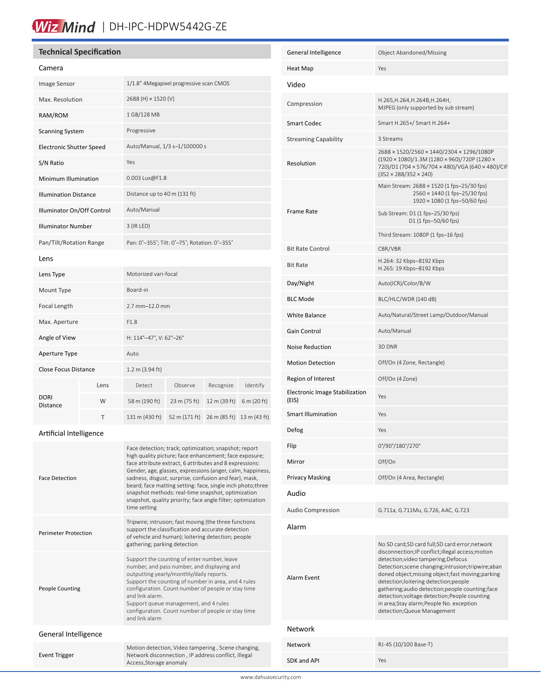# Wiz Mind | DH-IPC-HDPW5442G-ZE

# **Technical Specification**

| Camera                       |      |                                               |               |              |              |
|------------------------------|------|-----------------------------------------------|---------------|--------------|--------------|
| Image Sensor                 |      | 1/1.8" 4Megapixel progressive scan CMOS       |               |              |              |
| Max. Resolution              |      | 2688 (H) × 1520 (V)                           |               |              |              |
| RAM/ROM                      |      | 1 GB/128 MB                                   |               |              |              |
| <b>Scanning System</b>       |      | Progressive                                   |               |              |              |
| Electronic Shutter Speed     |      | Auto/Manual, 1/3 s-1/100000 s                 |               |              |              |
| S/N Ratio                    |      | Yes                                           |               |              |              |
| Minimum Illumination         |      | 0.003 Lux@F1.8                                |               |              |              |
| <b>Illumination Distance</b> |      | Distance up to 40 m (131 ft)                  |               |              |              |
| Illuminator On/Off Control   |      | Auto/Manual                                   |               |              |              |
| <b>Illuminator Number</b>    |      | 3 (IR LED)                                    |               |              |              |
| Pan/Tilt/Rotation Range      |      | Pan: 0°-355°; Tilt: 0°-75°; Rotation: 0°-355° |               |              |              |
| Lens                         |      |                                               |               |              |              |
| Lens Type                    |      | Motorized vari-focal                          |               |              |              |
| Mount Type                   |      | Board-in                                      |               |              |              |
| Focal Length                 |      | 2.7 mm-12.0 mm                                |               |              |              |
| Max. Aperture                |      | F1.8                                          |               |              |              |
| Angle of View                |      | H: 114°-47°, V: 62°-26°                       |               |              |              |
| Aperture Type                |      | Auto                                          |               |              |              |
| <b>Close Focus Distance</b>  |      | 1.2 m (3.94 ft)                               |               |              |              |
| DORI<br>Distance             | Lens | Detect                                        | Observe       | Recognize    | Identify     |
|                              | W    | 58 m (190 ft)                                 | 23 m (75 ft)  | 12 m (39 ft) | 6 m (20 ft)  |
|                              | т    | 131 m (430 ft)                                | 52 m (171 ft) | 26 m (85 ft) | 13 m (43 ft) |
|                              |      |                                               |               |              |              |

# Artificial Intelligence

ĺ

| <b>Face Detection</b>       | Face detection; track; optimization; snapshot; report<br>high quality picture; face enhancement; face exposure;<br>face attribute extract, 6 attributes and 8 expressions:<br>Gender, age, glasses, expressions (anger, calm, happiness,<br>sadness, disgust, surprise, confusion and fear), mask,<br>beard; face matting setting: face, single inch photo; three<br>snapshot methods: real-time snapshot, optimization<br>snapshot, quality priority; face angle filter; optimization<br>time setting |  |  |
|-----------------------------|--------------------------------------------------------------------------------------------------------------------------------------------------------------------------------------------------------------------------------------------------------------------------------------------------------------------------------------------------------------------------------------------------------------------------------------------------------------------------------------------------------|--|--|
| <b>Perimeter Protection</b> | Tripwire; intrusion; fast moving (the three functions<br>support the classification and accurate detection<br>of vehicle and human); loitering detection; people<br>gathering; parking detection                                                                                                                                                                                                                                                                                                       |  |  |
| <b>People Counting</b>      | Support the counting of enter number, leave<br>number, and pass number, and displaying and<br>outputting yearly/monthly/daily reports.<br>Support the counting of number in area, and 4 rules<br>configuration. Count number of people or stay time<br>and link alarm<br>Support queue management, and 4 rules<br>configuration. Count number of people or stay time<br>and link alarm                                                                                                                 |  |  |
| General Intelligence        |                                                                                                                                                                                                                                                                                                                                                                                                                                                                                                        |  |  |
| <b>Event Trigger</b>        | Motion detection, Video tampering, Scene changing,<br>Network disconnection, IP address conflict, Illegal<br>Access, Storage anomaly                                                                                                                                                                                                                                                                                                                                                                   |  |  |

| General Intelligence                    | Object Abandoned/Missing                                                                                                                                                                                                                                                                                                                                                                                                                                                      |  |  |  |
|-----------------------------------------|-------------------------------------------------------------------------------------------------------------------------------------------------------------------------------------------------------------------------------------------------------------------------------------------------------------------------------------------------------------------------------------------------------------------------------------------------------------------------------|--|--|--|
| <b>Heat Map</b>                         | Yes                                                                                                                                                                                                                                                                                                                                                                                                                                                                           |  |  |  |
| Video                                   |                                                                                                                                                                                                                                                                                                                                                                                                                                                                               |  |  |  |
| Compression                             | H.265, H.264, H.264B, H.264H,<br>MJPEG (only supported by sub stream)                                                                                                                                                                                                                                                                                                                                                                                                         |  |  |  |
| <b>Smart Codec</b>                      | Smart H.265+/ Smart H.264+                                                                                                                                                                                                                                                                                                                                                                                                                                                    |  |  |  |
| <b>Streaming Capability</b>             | 3 Streams                                                                                                                                                                                                                                                                                                                                                                                                                                                                     |  |  |  |
| Resolution                              | 2688 × 1520/2560 × 1440/2304 × 1296/1080P<br>(1920 × 1080)/1.3M (1280 × 960)/720P (1280 ×<br>720)/D1 (704 × 576/704 × 480)/VGA (640 × 480)/CIF<br>$(352 \times 288/352 \times 240)$                                                                                                                                                                                                                                                                                           |  |  |  |
|                                         | Main Stream: 2688 × 1520 (1 fps-25/30 fps)<br>2560 × 1440 (1 fps-25/30 fps)<br>1920 × 1080 (1 fps-50/60 fps)                                                                                                                                                                                                                                                                                                                                                                  |  |  |  |
| Frame Rate                              | Sub Stream: D1 (1 fps-25/30 fps)<br>D1 (1 fps-50/60 fps)                                                                                                                                                                                                                                                                                                                                                                                                                      |  |  |  |
|                                         | Third Stream: 1080P (1 fps-16 fps)                                                                                                                                                                                                                                                                                                                                                                                                                                            |  |  |  |
| <b>Bit Rate Control</b>                 | CBR/VBR<br>H.264: 32 Kbps-8192 Kbps                                                                                                                                                                                                                                                                                                                                                                                                                                           |  |  |  |
| <b>Bit Rate</b>                         | H.265: 19 Kbps-8192 Kbps                                                                                                                                                                                                                                                                                                                                                                                                                                                      |  |  |  |
| Day/Night                               | Auto(ICR)/Color/B/W                                                                                                                                                                                                                                                                                                                                                                                                                                                           |  |  |  |
| <b>BLC Mode</b>                         | BLC/HLC/WDR (140 dB)                                                                                                                                                                                                                                                                                                                                                                                                                                                          |  |  |  |
| <b>White Balance</b>                    | Auto/Natural/Street Lamp/Outdoor/Manual                                                                                                                                                                                                                                                                                                                                                                                                                                       |  |  |  |
| <b>Gain Control</b>                     | Auto/Manual                                                                                                                                                                                                                                                                                                                                                                                                                                                                   |  |  |  |
| Noise Reduction                         | 3D DNR                                                                                                                                                                                                                                                                                                                                                                                                                                                                        |  |  |  |
| <b>Motion Detection</b>                 | Off/On (4 Zone, Rectangle)                                                                                                                                                                                                                                                                                                                                                                                                                                                    |  |  |  |
| Region of Interest                      | Off/On (4 Zone)                                                                                                                                                                                                                                                                                                                                                                                                                                                               |  |  |  |
| Electronic Image Stabilization<br>(EIS) | Yes                                                                                                                                                                                                                                                                                                                                                                                                                                                                           |  |  |  |
| <b>Smart Illumination</b>               | Yes                                                                                                                                                                                                                                                                                                                                                                                                                                                                           |  |  |  |
| Defog                                   | Yes                                                                                                                                                                                                                                                                                                                                                                                                                                                                           |  |  |  |
| Flip                                    | 0°/90°/180°/270°                                                                                                                                                                                                                                                                                                                                                                                                                                                              |  |  |  |
| Mirror                                  | Off/On                                                                                                                                                                                                                                                                                                                                                                                                                                                                        |  |  |  |
| <b>Privacy Masking</b>                  | Off/On (4 Area, Rectangle)                                                                                                                                                                                                                                                                                                                                                                                                                                                    |  |  |  |
| Audio                                   |                                                                                                                                                                                                                                                                                                                                                                                                                                                                               |  |  |  |
| <b>Audio Compression</b>                | G.711a, G.711Mu, G.726, AAC, G.723                                                                                                                                                                                                                                                                                                                                                                                                                                            |  |  |  |
| Alarm                                   |                                                                                                                                                                                                                                                                                                                                                                                                                                                                               |  |  |  |
| Alarm Event                             | No SD card;SD card full;SD card error;network<br>disconnection; IP conflict; illegal access; motion<br>detection; video tampering; Defocus<br>Detection; scene changing; intrusion; tripwire; aban<br>doned object; missing object; fast moving; parking<br>detection;loitering detection;people<br>gathering;audio detection;people counting;face<br>detection; voltage detection; People counting<br>in area;Stay alarm;People No. exception<br>detection; Queue Management |  |  |  |
| Network                                 |                                                                                                                                                                                                                                                                                                                                                                                                                                                                               |  |  |  |
| <b>Network</b>                          | RJ-45 (10/100 Base-T)                                                                                                                                                                                                                                                                                                                                                                                                                                                         |  |  |  |
| SDK and API                             | Yes                                                                                                                                                                                                                                                                                                                                                                                                                                                                           |  |  |  |